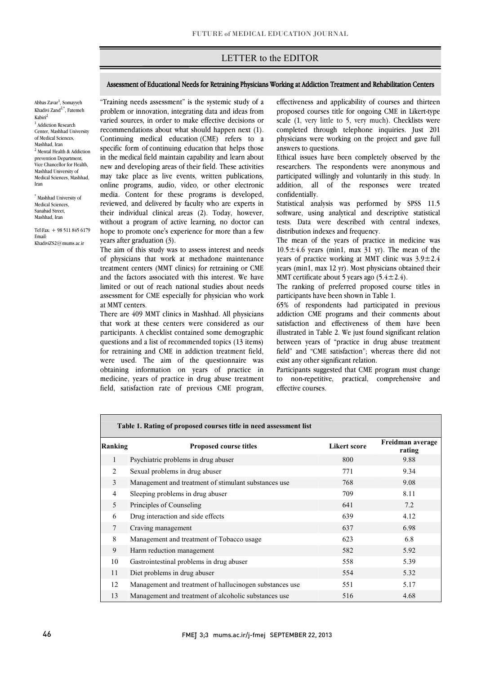## LETTER to the EDITOR

### Assessment of Educational Needs for Retraining Physicians Working at Addiction Treatment and Rehabilitation Centers

Abbas Zavar<sup>1</sup>, Somayyeh Khadivi Zand<sup>2,\*</sup>, Fatemeh Kabiri2  $<sup>1</sup>$  Addiction Research</sup> Center, Mashhad University of Medical Sciences, Mashhad, Iran <sup>2</sup> Mental Health & Addiction prevention Department, Vice Chancellor for Health, Mashhad University of Medical Sciences, Mashhad, Iran

\* Mashhad University of Medical Sciences, Sanabad Street, Mashhad, Iran

Tel\Fax: + 98 511 845 6179 Email: KhadiviZS2@mums.ac.ir

 "Training needs assessment" is the systemic study of a problem or innovation, integrating data and ideas from varied sources, in order to make effective decisions or recommendations about what should happen next (1). specific form of continuing education that helps those in the medical field maintain capability and learn about new and developing areas of their field. These activities may take place as live events, written publications, online programs, audio, video, or other electronic reviewed, and delivered by faculty who are experts in their individual clinical areas (2). Today, however, without a program of active learning, no doctor can hope to promote one's experience for more than a few Continuing medical education (CME) refers to a media. Content for these programs is developed, years after graduation (3).

Ī

The aim of this study was to assess interest and needs of physicians that work at methadone maintenance treatment centers (MMT clinics) for retraining or CME limited or out of reach national studies about needs assessment for CME especially for physician who work and the factors associated with this interest. We have at MMT centers.

 There are 409 MMT clinics in Mashhad. All physicians participants. A checklist contained some demographic questions and a list of recommended topics  $(13 \text{ items})$  for retraining and CME in addiction treatment field, were used. The aim of the questionnaire was obtaining information on years of practice in field, satisfaction rate of previous CME program, that work at these centers were considered as our medicine, years of practice in drug abuse treatment

 proposed courses title for ongoing CME in Likert-type scale  $(1, \text{ very little to 5, very much})$ . Checklists were completed through telephone inquiries. Just 201 physicians were working on the project and gave full effectiveness and applicability of courses and thirteen answers to questions.

֡֡֡֡֡֡

 Ethical issues have been completely observed by the researchers. The respondents were anonymous and participated willingly and voluntarily in this study. In addition, all of the responses were treated confidentially.

 Statistical analysis was performed by SPSS 11.5 software, using analytical and descriptive statistical tests. Data were described with central indexes, distribution indexes and frequency.

10.5 $\pm$ 4.6 years (min1, max 31 yr). The mean of the years of practice working at MMT clinic was  $3.9 \pm 2.4$  years (min1, max 12 yr). Most physicians obtained their MMT certificate about 5 years ago  $(5.4 \pm 2.4)$ . The mean of the years of practice in medicine was

The ranking of preferred proposed course titles in participants have been shown in Table 1.

 65% of respondents had participated in previous addiction CME programs and their comments about satisfaction and effectiveness of them have been between years of "practice in drug abuse treatment field" and "CME satisfaction"; whereas there did not illustrated in Table 2. We just found significant relation exist any other significant relation.

 Participants suggested that CME program must change to non-repetitive, practical, comprehensive and effective courses.

| Table 1. Rating of proposed courses title in need assessment list |                                                         |                     |                            |  |  |  |  |  |
|-------------------------------------------------------------------|---------------------------------------------------------|---------------------|----------------------------|--|--|--|--|--|
| Ranking                                                           | <b>Proposed course titles</b>                           | <b>Likert score</b> | Freidman average<br>rating |  |  |  |  |  |
| 1                                                                 | Psychiatric problems in drug abuser                     | 800                 | 9.88                       |  |  |  |  |  |
| $\mathfrak{D}$                                                    | Sexual problems in drug abuser                          | 771                 | 9.34                       |  |  |  |  |  |
| 3                                                                 | Management and treatment of stimulant substances use    | 768                 | 9.08                       |  |  |  |  |  |
| $\overline{4}$                                                    | Sleeping problems in drug abuser                        | 709                 | 8.11                       |  |  |  |  |  |
| 5                                                                 | Principles of Counseling                                | 641                 | 7.2                        |  |  |  |  |  |
| 6                                                                 | Drug interaction and side effects                       | 639                 | 4.12                       |  |  |  |  |  |
| $7\phantom{.0}$                                                   | Craving management                                      | 637                 | 6.98                       |  |  |  |  |  |
| 8                                                                 | Management and treatment of Tobacco usage               | 623                 | 6.8                        |  |  |  |  |  |
| 9                                                                 | Harm reduction management                               | 582                 | 5.92                       |  |  |  |  |  |
| 10                                                                | Gastrointestinal problems in drug abuser                | 558                 | 5.39                       |  |  |  |  |  |
| 11                                                                | Diet problems in drug abuser                            | 554                 | 5.32                       |  |  |  |  |  |
| 12                                                                | Management and treatment of hallucinogen substances use | 551                 | 5.17                       |  |  |  |  |  |
| 13                                                                | Management and treatment of alcoholic substances use    | 516                 | 4.68                       |  |  |  |  |  |